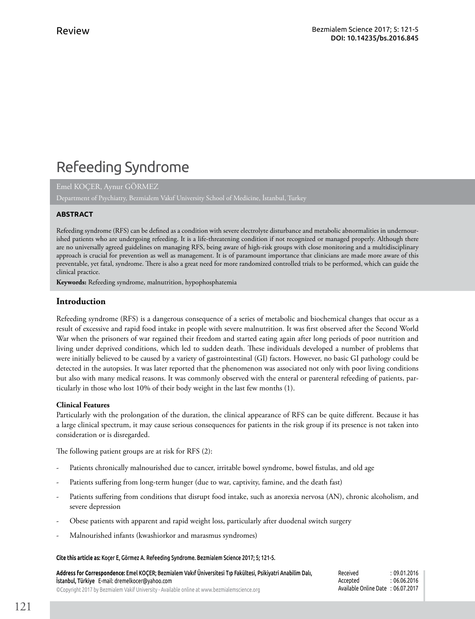# Refeeding Syndrome

Emel KOÇER, Aynur GÖRMEZ

## **ABSTRACT**

Refeeding syndrome (RFS) can be defined as a condition with severe electrolyte disturbance and metabolic abnormalities in undernourished patients who are undergoing refeeding. It is a life-threatening condition if not recognized or managed properly. Although there are no universally agreed guidelines on managing RFS, being aware of high-risk groups with close monitoring and a multidisciplinary approach is crucial for prevention as well as management. It is of paramount importance that clinicians are made more aware of this preventable, yet fatal, syndrome. There is also a great need for more randomized controlled trials to be performed, which can guide the clinical practice.

**Keywords:** Refeeding syndrome, malnutrition, hypophosphatemia

## **Introduction**

Refeeding syndrome (RFS) is a dangerous consequence of a series of metabolic and biochemical changes that occur as a result of excessive and rapid food intake in people with severe malnutrition. It was first observed after the Second World War when the prisoners of war regained their freedom and started eating again after long periods of poor nutrition and living under deprived conditions, which led to sudden death. These individuals developed a number of problems that were initially believed to be caused by a variety of gastrointestinal (GI) factors. However, no basic GI pathology could be detected in the autopsies. It was later reported that the phenomenon was associated not only with poor living conditions but also with many medical reasons. It was commonly observed with the enteral or parenteral refeeding of patients, particularly in those who lost 10% of their body weight in the last few months (1).

### **Clinical Features**

Particularly with the prolongation of the duration, the clinical appearance of RFS can be quite different. Because it has a large clinical spectrum, it may cause serious consequences for patients in the risk group if its presence is not taken into consideration or is disregarded.

The following patient groups are at risk for RFS (2):

- Patients chronically malnourished due to cancer, irritable bowel syndrome, bowel fistulas, and old age
- Patients suffering from long-term hunger (due to war, captivity, famine, and the death fast)
- Patients suffering from conditions that disrupt food intake, such as anorexia nervosa (AN), chronic alcoholism, and severe depression
- Obese patients with apparent and rapid weight loss, particularly after duodenal switch surgery
- Malnourished infants (kwashiorkor and marasmus syndromes)

#### **Cite this article as:** Koçer E, Görmez A. Refeeding Syndrome. Bezmialem Science 2017; 5; 121-5.

**Address for Correspondence:** Emel KOÇER; Bezmialem Vakıf Üniversitesi Tıp Fakültesi, Psikiyatri Anabilim Dalı, İstanbul, Türkiye E-mail: dremelkocer@yahoo.com ©Copyright 2017 by Bezmialem Vakif University - Available online at www.bezmialemscience.org Received : 09.01.2016 Accepted : 06.06.2016 Available Online Date : 06.07.2017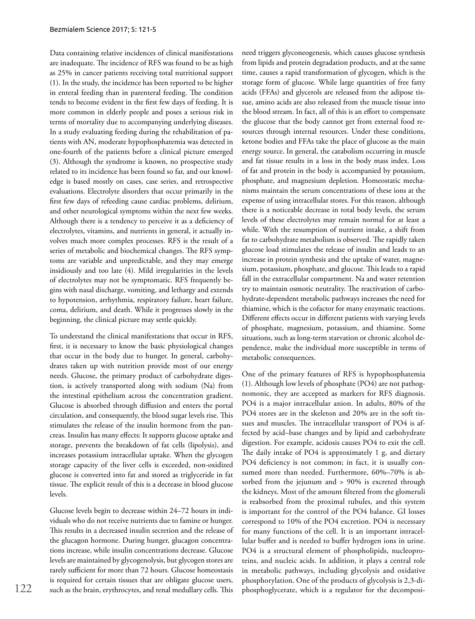Data containing relative incidences of clinical manifestations are inadequate. The incidence of RFS was found to be as high as 25% in cancer patients receiving total nutritional support (1). In the study, the incidence has been reported to be higher in enteral feeding than in parenteral feeding. The condition tends to become evident in the first few days of feeding. It is more common in elderly people and poses a serious risk in terms of mortality due to accompanying underlying diseases. In a study evaluating feeding during the rehabilitation of patients with AN, moderate hypophosphatemia was detected in one-fourth of the patients before a clinical picture emerged (3). Although the syndrome is known, no prospective study related to its incidence has been found so far, and our knowledge is based mostly on cases, case series, and retrospective evaluations. Electrolyte disorders that occur primarily in the first few days of refeeding cause cardiac problems, delirium, and other neurological symptoms within the next few weeks. Although there is a tendency to perceive it as a deficiency of electrolytes, vitamins, and nutrients in general, it actually involves much more complex processes. RFS is the result of a series of metabolic and biochemical changes. The RFS symptoms are variable and unpredictable, and they may emerge insidiously and too late (4). Mild irregularities in the levels of electrolytes may not be symptomatic. RFS frequently begins with nasal discharge, vomiting, and lethargy and extends to hypotension, arrhythmia, respiratory failure, heart failure, coma, delirium, and death. While it progresses slowly in the beginning, the clinical picture may settle quickly.

To understand the clinical manifestations that occur in RFS, first, it is necessary to know the basic physiological changes that occur in the body due to hunger. In general, carbohydrates taken up with nutrition provide most of our energy needs. Glucose, the primary product of carbohydrate digestion, is actively transported along with sodium (Na) from the intestinal epithelium across the concentration gradient. Glucose is absorbed through diffusion and enters the portal circulation, and consequently, the blood sugar levels rise. This stimulates the release of the insulin hormone from the pancreas. Insulin has many effects: It supports glucose uptake and storage, prevents the breakdown of fat cells (lipolysis), and increases potassium intracellular uptake. When the glycogen storage capacity of the liver cells is exceeded, non-oxidized glucose is converted into fat and stored as triglyceride in fat tissue. The explicit result of this is a decrease in blood glucose levels.

Glucose levels begin to decrease within 24–72 hours in individuals who do not receive nutrients due to famine or hunger. This results in a decreased insulin secretion and the release of the glucagon hormone. During hunger, glucagon concentrations increase, while insulin concentrations decrease. Glucose levels are maintained by glycogenolysis, but glycogen stores are rarely sufficient for more than 72 hours. Glucose homeostasis is required for certain tissues that are obligate glucose users, such as the brain, erythrocytes, and renal medullary cells. This need triggers glyconeogenesis, which causes glucose synthesis from lipids and protein degradation products, and at the same time, causes a rapid transformation of glycogen, which is the storage form of glucose. While large quantities of free fatty acids (FFAs) and glycerols are released from the adipose tissue, amino acids are also released from the muscle tissue into the blood stream. In fact, all of this is an effort to compensate the glucose that the body cannot get from external food resources through internal resources. Under these conditions, ketone bodies and FFAs take the place of glucose as the main energy source. In general, the catabolism occurring in muscle and fat tissue results in a loss in the body mass index. Loss of fat and protein in the body is accompanied by potassium, phosphate, and magnesium depletion. Homeostatic mechanisms maintain the serum concentrations of these ions at the expense of using intracellular stores. For this reason, although there is a noticeable decrease in total body levels, the serum levels of these electrolytes may remain normal for at least a while. With the resumption of nutrient intake, a shift from fat to carbohydrate metabolism is observed. The rapidly taken glucose load stimulates the release of insulin and leads to an increase in protein synthesis and the uptake of water, magnesium, potassium, phosphate, and glucose. This leads to a rapid fall in the extracellular compartment. Na and water retention try to maintain osmotic neutrality. The reactivation of carbohydrate-dependent metabolic pathways increases the need for thiamine, which is the cofactor for many enzymatic reactions. Different effects occur in different patients with varying levels of phosphate, magnesium, potassium, and thiamine. Some situations, such as long-term starvation or chronic alcohol dependence, make the individual more susceptible in terms of metabolic consequences.

One of the primary features of RFS is hypophosphatemia (1). Although low levels of phosphate (PO4) are not pathognomonic, they are accepted as markers for RFS diagnosis. PO4 is a major intracellular anion. In adults, 80% of the PO4 stores are in the skeleton and 20% are in the soft tissues and muscles. The intracellular transport of PO4 is affected by acid–base changes and by lipid and carbohydrate digestion. For example, acidosis causes PO4 to exit the cell. The daily intake of PO4 is approximately 1 g, and dietary PO4 deficiency is not common; in fact, it is usually consumed more than needed. Furthermore, 60%–70% is absorbed from the jejunum and > 90% is excreted through the kidneys. Most of the amount filtered from the glomeruli is reabsorbed from the proximal tubules, and this system is important for the control of the PO4 balance. GI losses correspond to 10% of the PO4 excretion. PO4 is necessary for many functions of the cell. It is an important intracellular buffer and is needed to buffer hydrogen ions in urine. PO4 is a structural element of phospholipids, nucleoproteins, and nucleic acids. In addition, it plays a central role in metabolic pathways, including glycolysis and oxidative phosphorylation. One of the products of glycolysis is 2,3-diphosphoglycerate, which is a regulator for the decomposi-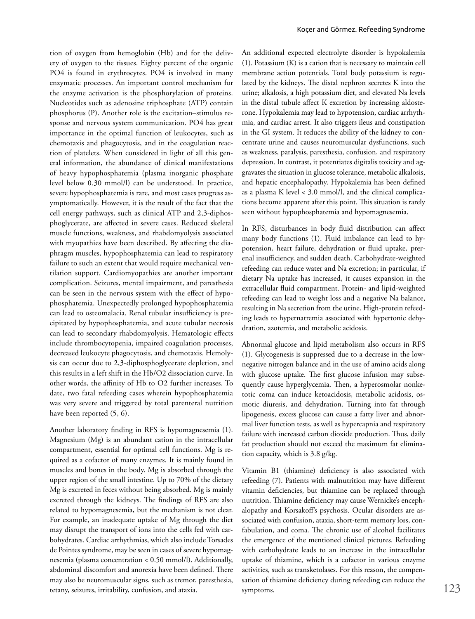tion of oxygen from hemoglobin (Hb) and for the delivery of oxygen to the tissues. Eighty percent of the organic PO4 is found in erythrocytes. PO4 is involved in many enzymatic processes. An important control mechanism for the enzyme activation is the phosphorylation of proteins. Nucleotides such as adenosine triphosphate (ATP) contain phosphorus (P). Another role is the excitation–stimulus response and nervous system communication. PO4 has great importance in the optimal function of leukocytes, such as chemotaxis and phagocytosis, and in the coagulation reaction of platelets. When considered in light of all this general information, the abundance of clinical manifestations of heavy hypophosphatemia (plasma inorganic phosphate level below 0.30 mmol/l) can be understood. In practice, severe hypophosphatemia is rare, and most cases progress asymptomatically. However, it is the result of the fact that the cell energy pathways, such as clinical ATP and 2,3-diphosphoglycerate, are affected in severe cases. Reduced skeletal muscle functions, weakness, and rhabdomyolysis associated with myopathies have been described. By affecting the diaphragm muscles, hypophosphatemia can lead to respiratory failure to such an extent that would require mechanical ventilation support. Cardiomyopathies are another important complication. Seizures, mental impairment, and paresthesia can be seen in the nervous system with the effect of hypophosphatemia. Unexpectedly prolonged hypophosphatemia can lead to osteomalacia. Renal tubular insufficiency is precipitated by hypophosphatemia, and acute tubular necrosis can lead to secondary rhabdomyolysis. Hematologic effects include thrombocytopenia, impaired coagulation processes, decreased leukocyte phagocytosis, and chemotaxis. Hemolysis can occur due to 2,3-diphosphoglycerate depletion, and this results in a left shift in the Hb/O2 dissociation curve. In other words, the affinity of Hb to O2 further increases. To date, two fatal refeeding cases wherein hypophosphatemia was very severe and triggered by total parenteral nutrition have been reported (5, 6).

Another laboratory finding in RFS is hypomagnesemia (1). Magnesium (Mg) is an abundant cation in the intracellular compartment, essential for optimal cell functions. Mg is required as a cofactor of many enzymes. It is mainly found in muscles and bones in the body. Mg is absorbed through the upper region of the small intestine. Up to 70% of the dietary Mg is excreted in feces without being absorbed. Mg is mainly excreted through the kidneys. The findings of RFS are also related to hypomagnesemia, but the mechanism is not clear. For example, an inadequate uptake of Mg through the diet may disrupt the transport of ions into the cells fed with carbohydrates. Cardiac arrhythmias, which also include Torsades de Pointes syndrome, may be seen in cases of severe hypomagnesemia (plasma concentration < 0.50 mmol/l). Additionally, abdominal discomfort and anorexia have been defined. There may also be neuromuscular signs, such as tremor, paresthesia, tetany, seizures, irritability, confusion, and ataxia.

An additional expected electrolyte disorder is hypokalemia (1). Potassium (K) is a cation that is necessary to maintain cell membrane action potentials. Total body potassium is regulated by the kidneys. The distal nephron secretes K into the urine; alkalosis, a high potassium diet, and elevated Na levels in the distal tubule affect K excretion by increasing aldosterone. Hypokalemia may lead to hypotension, cardiac arrhythmia, and cardiac arrest. It also triggers ileus and constipation in the GI system. It reduces the ability of the kidney to concentrate urine and causes neuromuscular dysfunctions, such as weakness, paralysis, paresthesia, confusion, and respiratory depression. In contrast, it potentiates digitalis toxicity and aggravates the situation in glucose tolerance, metabolic alkalosis, and hepatic encephalopathy. Hypokalemia has been defined as a plasma K level < 3.0 mmol/l, and the clinical complications become apparent after this point. This situation is rarely seen without hypophosphatemia and hypomagnesemia.

In RFS, disturbances in body fluid distribution can affect many body functions (1). Fluid imbalance can lead to hypotension, heart failure, dehydration or fluid uptake, prerenal insufficiency, and sudden death. Carbohydrate-weighted refeeding can reduce water and Na excretion; in particular, if dietary Na uptake has increased, it causes expansion in the extracellular fluid compartment. Protein- and lipid-weighted refeeding can lead to weight loss and a negative Na balance, resulting in Na secretion from the urine. High-protein refeeding leads to hypernatremia associated with hypertonic dehydration, azotemia, and metabolic acidosis.

Abnormal glucose and lipid metabolism also occurs in RFS (1). Glycogenesis is suppressed due to a decrease in the lownegative nitrogen balance and in the use of amino acids along with glucose uptake. The first glucose infusion may subsequently cause hyperglycemia. Then, a hyperosmolar nonketotic coma can induce ketoacidosis, metabolic acidosis, osmotic diuresis, and dehydration. Turning into fat through lipogenesis, excess glucose can cause a fatty liver and abnormal liver function tests, as well as hypercapnia and respiratory failure with increased carbon dioxide production. Thus, daily fat production should not exceed the maximum fat elimination capacity, which is 3.8 g/kg.

Vitamin B1 (thiamine) deficiency is also associated with refeeding (7). Patients with malnutrition may have different vitamin deficiencies, but thiamine can be replaced through nutrition. Thiamine deficiency may cause Wernicke's encephalopathy and Korsakoff's psychosis. Ocular disorders are associated with confusion, ataxia, short-term memory loss, confabulation, and coma. The chronic use of alcohol facilitates the emergence of the mentioned clinical pictures. Refeeding with carbohydrate leads to an increase in the intracellular uptake of thiamine, which is a cofactor in various enzyme activities, such as transketolases. For this reason, the compensation of thiamine deficiency during refeeding can reduce the symptoms.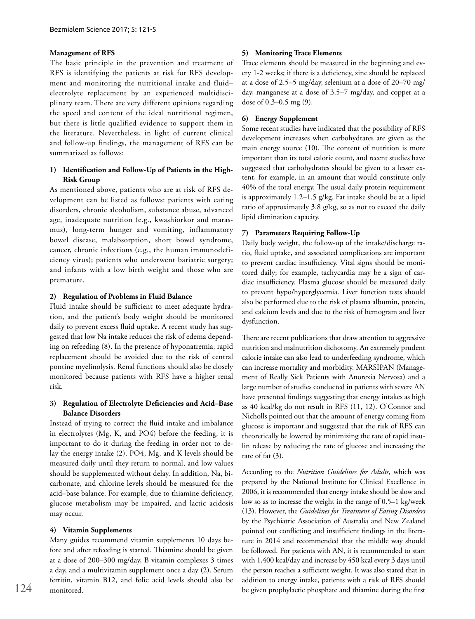#### **Management of RFS**

The basic principle in the prevention and treatment of RFS is identifying the patients at risk for RFS development and monitoring the nutritional intake and fluid– electrolyte replacement by an experienced multidisciplinary team. There are very different opinions regarding the speed and content of the ideal nutritional regimen, but there is little qualified evidence to support them in the literature. Nevertheless, in light of current clinical and follow-up findings, the management of RFS can be summarized as follows:

## **1) Identification and Follow-Up of Patients in the High-Risk Group**

As mentioned above, patients who are at risk of RFS development can be listed as follows: patients with eating disorders, chronic alcoholism, substance abuse, advanced age, inadequate nutrition (e.g., kwashiorkor and marasmus), long-term hunger and vomiting, inflammatory bowel disease, malabsorption, short bowel syndrome, cancer, chronic infections (e.g., the human immunodeficiency virus); patients who underwent bariatric surgery; and infants with a low birth weight and those who are premature.

### **2) Regulation of Problems in Fluid Balance**

Fluid intake should be sufficient to meet adequate hydration, and the patient's body weight should be monitored daily to prevent excess fluid uptake. A recent study has suggested that low Na intake reduces the risk of edema depending on refeeding (8). In the presence of hyponatremia, rapid replacement should be avoided due to the risk of central pontine myelinolysis. Renal functions should also be closely monitored because patients with RFS have a higher renal risk.

## **3) Regulation of Electrolyte Deficiencies and Acid–Base Balance Disorders**

Instead of trying to correct the fluid intake and imbalance in electrolytes (Mg, K, and PO4) before the feeding, it is important to do it during the feeding in order not to delay the energy intake (2). PO4, Mg, and K levels should be measured daily until they return to normal, and low values should be supplemented without delay. In addition, Na, bicarbonate, and chlorine levels should be measured for the acid–base balance. For example, due to thiamine deficiency, glucose metabolism may be impaired, and lactic acidosis may occur.

#### **4) Vitamin Supplements**

Many guides recommend vitamin supplements 10 days before and after refeeding is started. Thiamine should be given at a dose of 200–300 mg/day, B vitamin complexes 3 times a day, and a multivitamin supplement once a day (2). Serum ferritin, vitamin B12, and folic acid levels should also be monitored.

#### **5) Monitoring Trace Elements**

Trace elements should be measured in the beginning and every 1-2 weeks; if there is a deficiency, zinc should be replaced at a dose of 2.5–5 mg/day, selenium at a dose of 20–70 mg/ day, manganese at a dose of 3.5–7 mg/day, and copper at a dose of 0.3–0.5 mg (9).

## **6) Energy Supplement**

Some recent studies have indicated that the possibility of RFS development increases when carbohydrates are given as the main energy source (10). The content of nutrition is more important than its total calorie count, and recent studies have suggested that carbohydrates should be given to a lesser extent, for example, in an amount that would constitute only 40% of the total energy. The usual daily protein requirement is approximately 1.2–1.5 g/kg. Fat intake should be at a lipid ratio of approximately 3.8 g/kg, so as not to exceed the daily lipid elimination capacity.

#### **7) Parameters Requiring Follow-Up**

Daily body weight, the follow-up of the intake/discharge ratio, fluid uptake, and associated complications are important to prevent cardiac insufficiency. Vital signs should be monitored daily; for example, tachycardia may be a sign of cardiac insufficiency. Plasma glucose should be measured daily to prevent hypo/hyperglycemia. Liver function tests should also be performed due to the risk of plasma albumin, protein, and calcium levels and due to the risk of hemogram and liver dysfunction.

There are recent publications that draw attention to aggressive nutrition and malnutrition dichotomy. An extremely prudent calorie intake can also lead to underfeeding syndrome, which can increase mortality and morbidity. MARSIPAN (Management of Really Sick Patients with Anorexia Nervosa) and a large number of studies conducted in patients with severe AN have presented findings suggesting that energy intakes as high as 40 kcal/kg do not result in RFS (11, 12). O'Connor and Nicholls pointed out that the amount of energy coming from glucose is important and suggested that the risk of RFS can theoretically be lowered by minimizing the rate of rapid insulin release by reducing the rate of glucose and increasing the rate of fat (3).

According to the *Nutrition Guidelines for Adults*, which was prepared by the National Institute for Clinical Excellence in 2006, it is recommended that energy intake should be slow and low so as to increase the weight in the range of 0.5–1 kg/week (13). However, the *Guidelines for Treatment of Eating Disorders* by the Psychiatric Association of Australia and New Zealand pointed out conflicting and insufficient findings in the literature in 2014 and recommended that the middle way should be followed. For patients with AN, it is recommended to start with 1,400 kcal/day and increase by 450 kcal every 3 days until the person reaches a sufficient weight. It was also stated that in addition to energy intake, patients with a risk of RFS should be given prophylactic phosphate and thiamine during the first